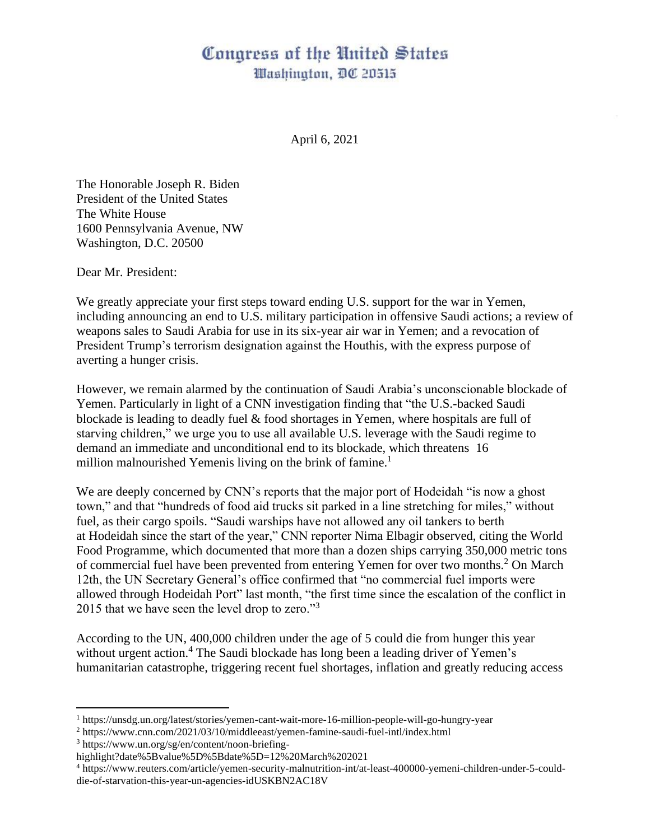## Congress of the United States Washington, DC 20515

April 6, 2021

The Honorable Joseph R. Biden President of the United States The White House 1600 Pennsylvania Avenue, NW Washington, D.C. 20500

Dear Mr. President:

We greatly appreciate your first steps toward ending U.S. support for the war in Yemen, including announcing an end to U.S. military participation in offensive Saudi actions; a review of weapons sales to Saudi Arabia for use in its six-year air war in Yemen; and a revocation of President Trump's terrorism designation against the Houthis, with the express purpose of averting a hunger crisis.

However, we remain alarmed by the continuation of Saudi Arabia's unconscionable blockade of Yemen. Particularly in light of a CNN investigation finding that "the U.S.-backed Saudi blockade is leading to deadly fuel & food shortages in Yemen, where hospitals are full of starving children," we urge you to use all available U.S. leverage with the Saudi regime to demand an immediate and unconditional end to its blockade, which threatens 16 million malnourished Yemenis living on the brink of famine.<sup>1</sup>

We are deeply concerned by CNN's reports that the major port of Hodeidah "is now a ghost town," and that "hundreds of food aid trucks sit parked in a line stretching for miles," without fuel, as their cargo spoils. "Saudi warships have not allowed any oil tankers to berth at Hodeidah since the start of the year," CNN reporter Nima Elbagir observed, citing the World Food Programme, which documented that more than a dozen ships carrying 350,000 metric tons of commercial fuel have been prevented from entering Yemen for over two months.<sup>2</sup> On March 12th, the UN Secretary General's office confirmed that "no commercial fuel imports were allowed through Hodeidah Port" last month, "the first time since the escalation of the conflict in 2015 that we have seen the level drop to zero."<sup>3</sup>

According to the UN, 400,000 children under the age of 5 could die from hunger this year without urgent action.<sup>4</sup> The Saudi blockade has long been a leading driver of Yemen's humanitarian catastrophe, triggering recent fuel shortages, inflation and greatly reducing access

<sup>1</sup> https://unsdg.un.org/latest/stories/yemen-cant-wait-more-16-million-people-will-go-hungry-year

<sup>2</sup> https://www.cnn.com/2021/03/10/middleeast/yemen-famine-saudi-fuel-intl/index.html

<sup>3</sup> https://www.un.org/sg/en/content/noon-briefing-

highlight?date%5Bvalue%5D%5Bdate%5D=12%20March%202021

<sup>4</sup> https://www.reuters.com/article/yemen-security-malnutrition-int/at-least-400000-yemeni-children-under-5-coulddie-of-starvation-this-year-un-agencies-idUSKBN2AC18V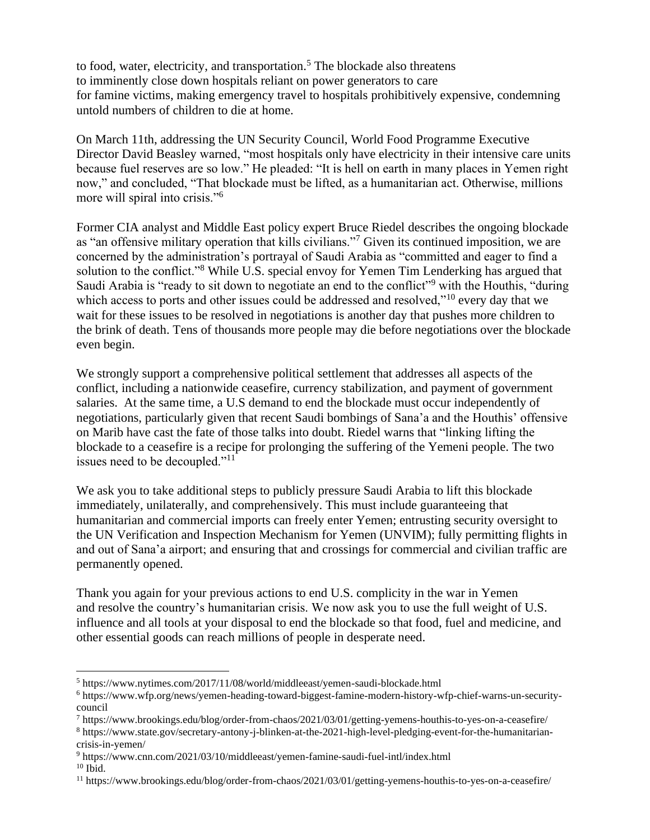to food, water, electricity, and transportation.<sup>5</sup> The blockade also threatens to imminently close down hospitals reliant on power generators to care for famine victims, making emergency travel to hospitals prohibitively expensive, condemning untold numbers of children to die at home.

On March 11th, addressing the UN Security Council, World Food Programme Executive Director David Beasley warned, "most hospitals only have electricity in their intensive care units because fuel reserves are so low." He pleaded: "It is hell on earth in many places in Yemen right now," and concluded, "That blockade must be lifted, as a humanitarian act. Otherwise, millions more will spiral into crisis."<sup>6</sup>

Former CIA analyst and Middle East policy expert Bruce Riedel describes the ongoing blockade as "an offensive military operation that kills civilians."<sup>7</sup> Given its continued imposition, we are concerned by the administration's portrayal of Saudi Arabia as "committed and eager to find a solution to the conflict."<sup>8</sup> While U.S. special envoy for Yemen Tim Lenderking has argued that Saudi Arabia is "ready to sit down to negotiate an end to the conflict"<sup>9</sup> with the Houthis, "during which access to ports and other issues could be addressed and resolved,"<sup>10</sup> every day that we wait for these issues to be resolved in negotiations is another day that pushes more children to the brink of death. Tens of thousands more people may die before negotiations over the blockade even begin.

We strongly support a comprehensive political settlement that addresses all aspects of the conflict, including a nationwide ceasefire, currency stabilization, and payment of government salaries. At the same time, a U.S demand to end the blockade must occur independently of negotiations, particularly given that recent Saudi bombings of Sana'a and the Houthis' offensive on Marib have cast the fate of those talks into doubt. Riedel warns that "linking lifting the blockade to a ceasefire is a recipe for prolonging the suffering of the Yemeni people. The two issues need to be decoupled."<sup>11</sup>

We ask you to take additional steps to publicly pressure Saudi Arabia to lift this blockade immediately, unilaterally, and comprehensively. This must include guaranteeing that humanitarian and commercial imports can freely enter Yemen; entrusting security oversight to the UN Verification and Inspection Mechanism for Yemen (UNVIM); fully permitting flights in and out of Sana'a airport; and ensuring that and crossings for commercial and civilian traffic are permanently opened.

Thank you again for your previous actions to end U.S. complicity in the war in Yemen and resolve the country's humanitarian crisis. We now ask you to use the full weight of U.S. influence and all tools at your disposal to end the blockade so that food, fuel and medicine, and other essential goods can reach millions of people in desperate need.

<sup>5</sup> https://www.nytimes.com/2017/11/08/world/middleeast/yemen-saudi-blockade.html

<sup>6</sup> https://www.wfp.org/news/yemen-heading-toward-biggest-famine-modern-history-wfp-chief-warns-un-securitycouncil

<sup>7</sup> https://www.brookings.edu/blog/order-from-chaos/2021/03/01/getting-yemens-houthis-to-yes-on-a-ceasefire/

<sup>8</sup> https://www.state.gov/secretary-antony-j-blinken-at-the-2021-high-level-pledging-event-for-the-humanitariancrisis-in-yemen/

<sup>9</sup> https://www.cnn.com/2021/03/10/middleeast/yemen-famine-saudi-fuel-intl/index.html

 $10$  Ibid.

<sup>11</sup> https://www.brookings.edu/blog/order-from-chaos/2021/03/01/getting-yemens-houthis-to-yes-on-a-ceasefire/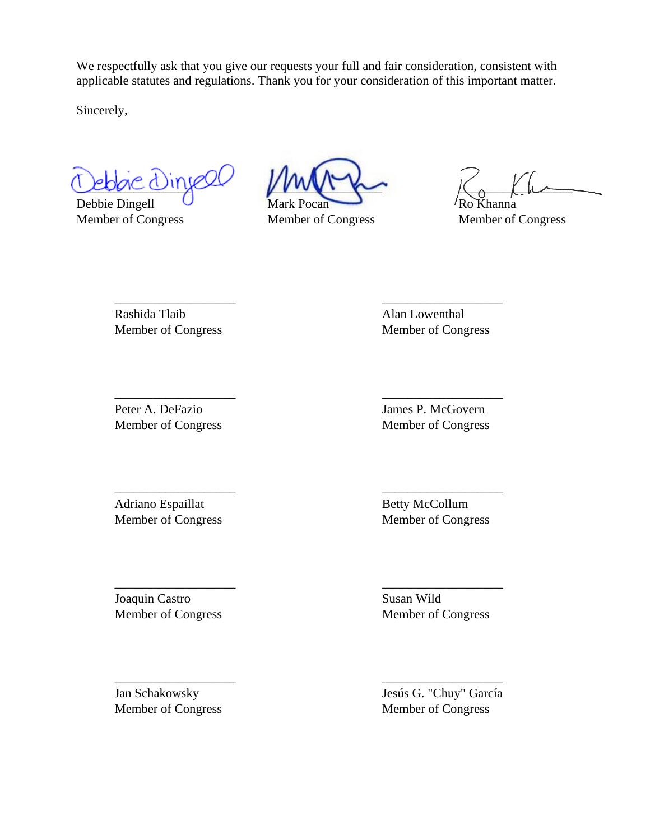We respectfully ask that you give our requests your full and fair consideration, consistent with applicable statutes and regulations. Thank you for your consideration of this important matter.

Sincerely,

Leon conjet MWI for K. Lu

Debbie Dingell

Member of Congress Member of Congress Member of Congress

\_\_\_\_\_\_\_\_\_\_\_\_\_\_\_\_\_\_\_ \_\_\_\_\_\_\_\_\_\_\_\_\_\_\_\_\_\_\_

\_\_\_\_\_\_\_\_\_\_\_\_\_\_\_\_\_\_\_ \_\_\_\_\_\_\_\_\_\_\_\_\_\_\_\_\_\_\_

\_\_\_\_\_\_\_\_\_\_\_\_\_\_\_\_\_\_\_ \_\_\_\_\_\_\_\_\_\_\_\_\_\_\_\_\_\_\_

\_\_\_\_\_\_\_\_\_\_\_\_\_\_\_\_\_\_\_ \_\_\_\_\_\_\_\_\_\_\_\_\_\_\_\_\_\_\_

\_\_\_\_\_\_\_\_\_\_\_\_\_\_\_\_\_\_\_ \_\_\_\_\_\_\_\_\_\_\_\_\_\_\_\_\_\_\_

Rashida Tlaib Alan Lowenthal

Member of Congress Member of Congress

Peter A. DeFazio James P. McGovern

Adriano Espaillat Betty McCollum Member of Congress Member of Congress

Joaquin Castro Susan Wild

Member of Congress Member of Congress

Member of Congress Member of Congress

Jan Schakowsky Jesús G. "Chuy" García Member of Congress Member of Congress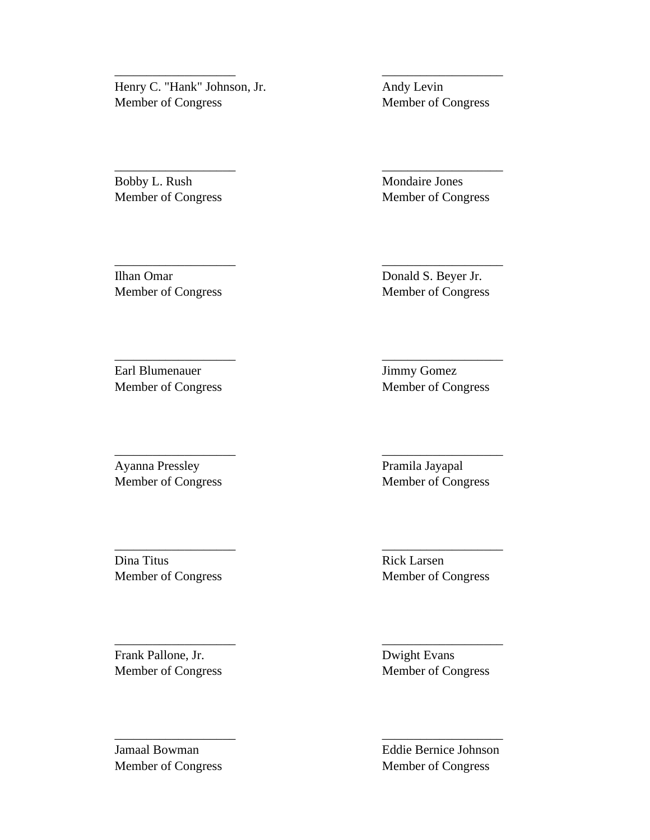Henry C. "Hank" Johnson, Jr. Andy Levin Member of Congress Member of Congress

\_\_\_\_\_\_\_\_\_\_\_\_\_\_\_\_\_\_\_ \_\_\_\_\_\_\_\_\_\_\_\_\_\_\_\_\_\_\_

\_\_\_\_\_\_\_\_\_\_\_\_\_\_\_\_\_\_\_ \_\_\_\_\_\_\_\_\_\_\_\_\_\_\_\_\_\_\_

\_\_\_\_\_\_\_\_\_\_\_\_\_\_\_\_\_\_\_ \_\_\_\_\_\_\_\_\_\_\_\_\_\_\_\_\_\_\_

\_\_\_\_\_\_\_\_\_\_\_\_\_\_\_\_\_\_\_ \_\_\_\_\_\_\_\_\_\_\_\_\_\_\_\_\_\_\_

\_\_\_\_\_\_\_\_\_\_\_\_\_\_\_\_\_\_\_ \_\_\_\_\_\_\_\_\_\_\_\_\_\_\_\_\_\_\_

\_\_\_\_\_\_\_\_\_\_\_\_\_\_\_\_\_\_\_ \_\_\_\_\_\_\_\_\_\_\_\_\_\_\_\_\_\_\_

\_\_\_\_\_\_\_\_\_\_\_\_\_\_\_\_\_\_\_ \_\_\_\_\_\_\_\_\_\_\_\_\_\_\_\_\_\_\_

\_\_\_\_\_\_\_\_\_\_\_\_\_\_\_\_\_\_\_ \_\_\_\_\_\_\_\_\_\_\_\_\_\_\_\_\_\_\_

Bobby L. Rush Mondaire Jones Member of Congress Member of Congress

Ilhan Omar Donald S. Beyer Jr. Member of Congress Member of Congress

Earl Blumenauer Jimmy Gomez Member of Congress Member of Congress

Ayanna Pressley Pramila Jayapal

Dina Titus Rick Larsen Member of Congress Member of Congress

Frank Pallone, Jr. Dwight Evans

Member of Congress Member of Congress

Member of Congress Member of Congress

Jamaal Bowman Eddie Bernice Johnson Member of Congress Member of Congress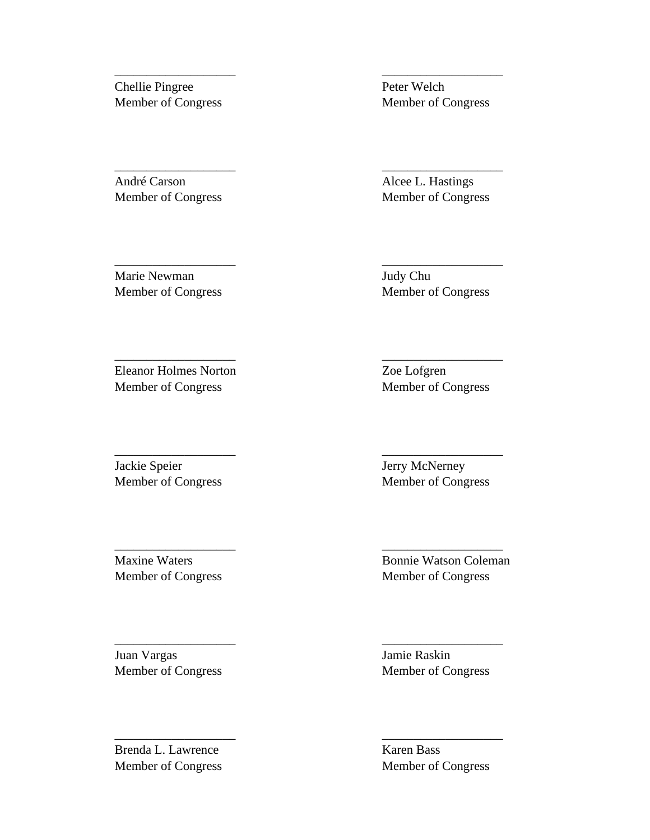Chellie Pingree Peter Welch

André Carson Alcee L. Hastings

Member of Congress Member of Congress

\_\_\_\_\_\_\_\_\_\_\_\_\_\_\_\_\_\_\_ \_\_\_\_\_\_\_\_\_\_\_\_\_\_\_\_\_\_\_

\_\_\_\_\_\_\_\_\_\_\_\_\_\_\_\_\_\_\_ \_\_\_\_\_\_\_\_\_\_\_\_\_\_\_\_\_\_\_

\_\_\_\_\_\_\_\_\_\_\_\_\_\_\_\_\_\_\_ \_\_\_\_\_\_\_\_\_\_\_\_\_\_\_\_\_\_\_

\_\_\_\_\_\_\_\_\_\_\_\_\_\_\_\_\_\_\_ \_\_\_\_\_\_\_\_\_\_\_\_\_\_\_\_\_\_\_

\_\_\_\_\_\_\_\_\_\_\_\_\_\_\_\_\_\_\_ \_\_\_\_\_\_\_\_\_\_\_\_\_\_\_\_\_\_\_

\_\_\_\_\_\_\_\_\_\_\_\_\_\_\_\_\_\_\_ \_\_\_\_\_\_\_\_\_\_\_\_\_\_\_\_\_\_\_

\_\_\_\_\_\_\_\_\_\_\_\_\_\_\_\_\_\_\_ \_\_\_\_\_\_\_\_\_\_\_\_\_\_\_\_\_\_\_

\_\_\_\_\_\_\_\_\_\_\_\_\_\_\_\_\_\_\_ \_\_\_\_\_\_\_\_\_\_\_\_\_\_\_\_\_\_\_

Member of Congress Member of Congress

Marie Newman Judy Chu

Member of Congress Member of Congress

Eleanor Holmes Norton Zoe Lofgren Member of Congress Member of Congress

Jackie Speier **Jerry McNerney** 

Juan Vargas Jamie Raskin

Brenda L. Lawrence Karen Bass

Member of Congress Member of Congress

Maxine Waters Bonnie Watson Coleman Member of Congress Member of Congress

Member of Congress Member of Congress

Member of Congress Member of Congress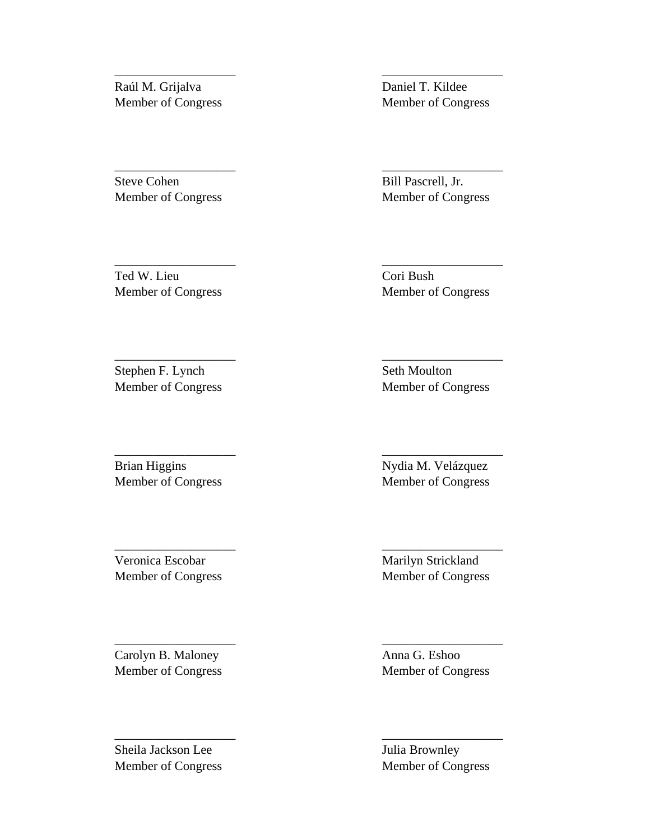Raúl M. Grijalva Daniel T. Kildee

Steve Cohen Bill Pascrell, Jr. Member of Congress Member of Congress

Member of Congress Member of Congress

\_\_\_\_\_\_\_\_\_\_\_\_\_\_\_\_\_\_\_ \_\_\_\_\_\_\_\_\_\_\_\_\_\_\_\_\_\_\_

\_\_\_\_\_\_\_\_\_\_\_\_\_\_\_\_\_\_\_ \_\_\_\_\_\_\_\_\_\_\_\_\_\_\_\_\_\_\_

\_\_\_\_\_\_\_\_\_\_\_\_\_\_\_\_\_\_\_ \_\_\_\_\_\_\_\_\_\_\_\_\_\_\_\_\_\_\_

\_\_\_\_\_\_\_\_\_\_\_\_\_\_\_\_\_\_\_ \_\_\_\_\_\_\_\_\_\_\_\_\_\_\_\_\_\_\_

\_\_\_\_\_\_\_\_\_\_\_\_\_\_\_\_\_\_\_ \_\_\_\_\_\_\_\_\_\_\_\_\_\_\_\_\_\_\_

\_\_\_\_\_\_\_\_\_\_\_\_\_\_\_\_\_\_\_ \_\_\_\_\_\_\_\_\_\_\_\_\_\_\_\_\_\_\_

\_\_\_\_\_\_\_\_\_\_\_\_\_\_\_\_\_\_\_ \_\_\_\_\_\_\_\_\_\_\_\_\_\_\_\_\_\_\_

\_\_\_\_\_\_\_\_\_\_\_\_\_\_\_\_\_\_\_ \_\_\_\_\_\_\_\_\_\_\_\_\_\_\_\_\_\_\_

Ted W. Lieu Cori Bush

Member of Congress Member of Congress

Stephen F. Lynch Seth Moulton Member of Congress Member of Congress

Brian Higgins Nydia M. Velázquez

Carolyn B. Maloney **Anna G. Eshoo** 

Sheila Jackson Lee Julia Brownley

Member of Congress Member of Congress

Veronica Escobar Marilyn Strickland Member of Congress Member of Congress

Member of Congress Member of Congress

Member of Congress Member of Congress